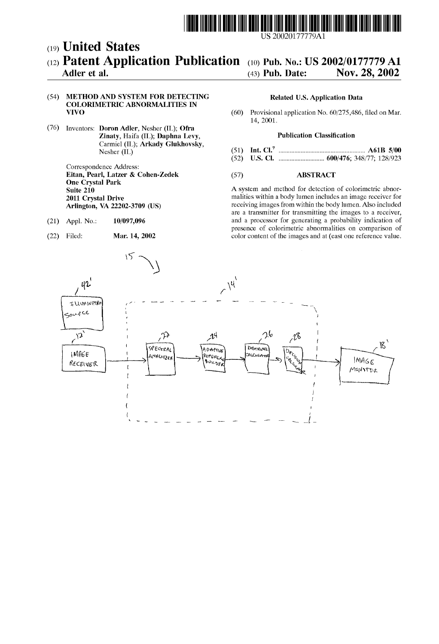

 $|$ US 20020177779A1

## (19) United States (12) **Patent Application Publication** (10) Pub. No.: US 2002/0177779 A1 Adler et al. (43) Pub. Date: Nov. 28, 2002

## (54) METHOD AND SYSTEM FOR DETECTING Related US. Application Data COLORIMETRIC ABNORMALITIES IN

(76) Inventors: Doron Adler, Nesher (IL); Ofra Zinaty, Haifa (IL); Daphna Levy, Publication Classification Carmiel (IL); Arkady Glukhovsky,<br>Nesher (IL)

Correspondence Address: Eitan, Pearl, Latzer & Cohen-Zedek (57) ABSTRACT One Crystal Park

- 
- 

# $(A3)$  Pub. Date: Nov. 28, 2002

(60) Provisional application No.  $60/275,486$ , filed on Mar. 14, 2001.

- Nesher (IL) (51) Int. Cl.7 ..................................................... .. A61B 5/00
- (52) US. Cl. ........................... .. 600/476; 348/77; 128/923

A system and method for detection of colorimetric abnor-2011 Crystal Drive<br>
2011 Crystal Drive malities within a body lumen includes an image receiver for<br>
2011 Crystal Drive<br>
20202-3709 (IS)<br>
2012 Crystal Drive Arlington, VA 22202-3709 (US) receiving images from within the body lumen. Also included are a transmitter for transmitting the images to a receiver, (21) Appl. No.:  $10/097,096$  and a processor for generating a probability indication of presence of colorimetric abnormalities on comparison of (22) Filed: Mar. 14, 2002 color content of the images and at (east one reference value.

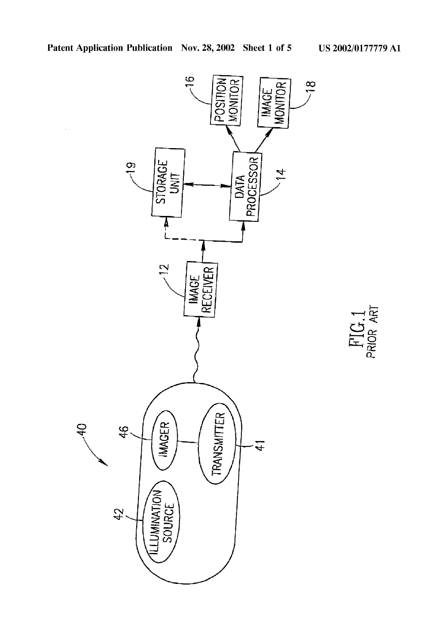FIG.1<br>PRIOR ART

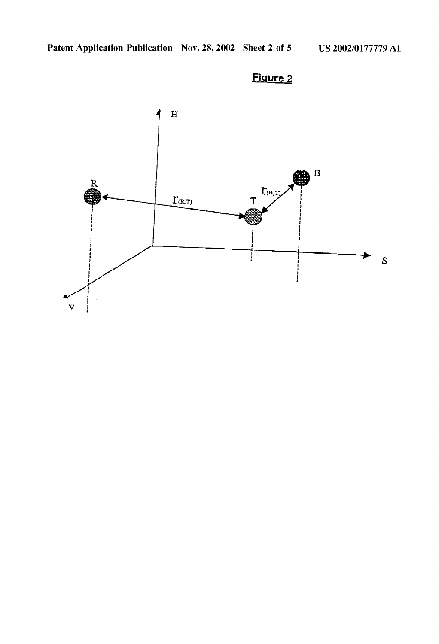

## Figure 2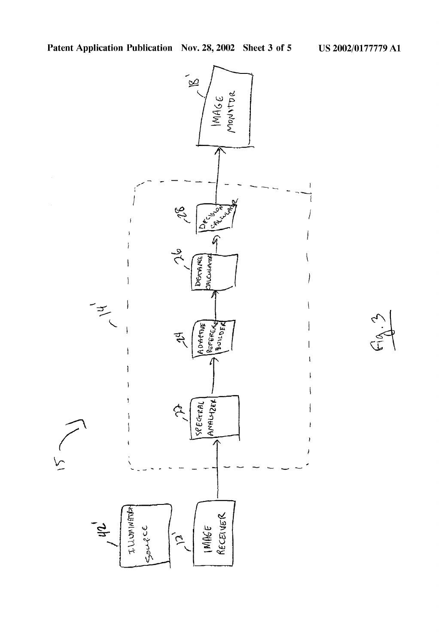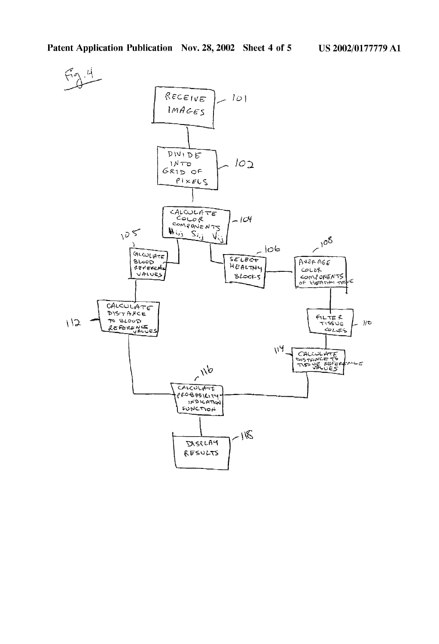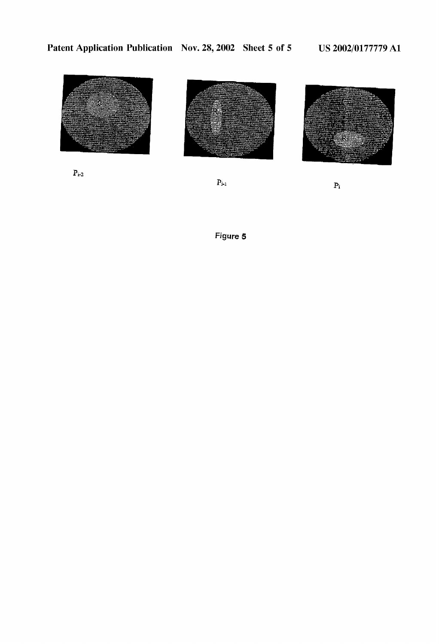

 $\mathbf{p}_{i\text{-}2}$ 



 $\mathbf{P}_{i\text{-}1}$ 



 $\bar{P}_i$ 

Figure 5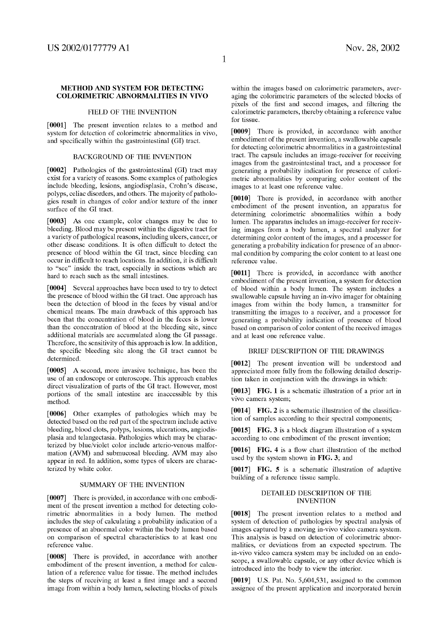## METHOD AND SYSTEM FOR DETECTING COLORIMETRIC ABNORMALITIES IN VIVO

## FIELD OF THE INVENTION

[0001] The present invention relates to a method and system for detection of colorimetric abnormalities in vivo, and specifically within the gastrointestinal (GI) tract.

### BACKGROUND OF THE INVENTION

[0002] Pathologies of the gastrointestinal (GI) tract may exist for a variety of reasons. Some examples of pathologies include bleeding, lesions, angiodisplasia, Crohn's disease, polyps, celiac disorders, and others. The majority of patholo gies result in changes of color and/or texture of the inner surface of the GI tract.

[0003] As one example, color changes may be due to bleeding. Blood may be present Within the digestive tract for a variety of pathological reasons, including ulcers, cancer, or other disease conditions. It is often difficult to detect the presence of blood Within the GI tract, since bleeding can occur in difficult to reach locations. In addition, it is difficult to "see" inside the tract, especially in sections Which are hard to reach such as the small intestines.

[0004] Several approaches have been used to try to detect the presence of blood Within the GI tract. One approach has been the detection of blood in the feces by visual and/or chemical means. The main draWback of this approach has been that the concentration of blood in the feces is lower than the concentration of blood at the bleeding site, since additional materials are accumulated along the GI passage. Therefore, the sensitivity of this approach is loW. In addition, the specific bleeding site along the GI tract cannot be determined.

[0005] A second, more invasive technique, has been the use of an endoscope or enteroscope. This approach enables direct visualization of parts of the GI tract. However, most portions of the small intestine are inaccessible by this method.

[0006] Other examples of pathologies Which may be detected based on the red part of the spectrum include active bleeding, blood clots, polyps, lesions, ulcerations, angiodis plasia and telangectasia. Pathologies Which may be charac terized by blue/violet color include arterio-venous malformation (AVM) and submucosal bleeding. AVM may also appear in red. In addition, some types of ulcers are charac terized by white color.

## SUMMARY OF THE INVENTION

[0007] There is provided, in accordance with one embodiment of the present invention a method for detecting colo rimetric abnormalities in a body lumen. The method includes the step of calculating a probability indication of a presence of an abnormal color Within the body lumen based on comparison of spectral characteristics to at least one reference value.

[0008] There is provided, in accordance with another embodiment of the present invention, a method for calcu lation of a reference value for tissue. The method includes the steps of receiving at least a first image and a second image from Within a body lumen, selecting blocks of pixels within the images based on calorimetric parameters, averaging the colorimetric parameters of the selected blocks of pixels of the first and second images, and filtering the calorimetric parameters, thereby obtaining a reference value for tissue.

[0009] There is provided, in accordance with another embodiment of the present invention, a swallowable capsule for detecting colorimetric abnormalities in a gastrointestinal tract. The capsule includes an image-receiver for receiving images from the gastrointestinal tract, and a processor for generating a probability indication for presence of calori metric abnormalities by comparing color content of the images to at least one reference value.

[0010] There is provided, in accordance with another embodiment of the present invention, an apparatus for determining colorimetric abnormalities Within a body lumen. The apparatus includes an image-receiver for receiv ing images from a body lumen, a spectral analyzer for determining color content of the images, and a processor for generating a probability indication for presence of an abnor mal condition by comparing the color content to at least one reference value.

[0011] There is provided, in accordance with another embodiment of the present invention, a system for detection of blood Within a body lumen. The system includes a swallowable capsule having an in-vivo imager for obtaining images from Within the body lumen, a transmitter for transmitting the images to a receiver, and a processor for generating a probability indication of presence of blood based on comparison of color content of the received images and at least one reference value.

## BRIEF DESCRIPTION OF THE DRAWINGS

[0012] The present invention Will be understood and appreciated more fully from the following detailed description taken in conjunction With the draWings in Which:

[0013] FIG. 1 is a schematic illustration of a prior art in vivo camera system;

[0014] FIG. 2 is a schematic illustration of the classification of samples according to their spectral components;

[0015] FIG. 3 is a block diagram illustration of a system according to one embodiment of the present invention;

[0016] FIG. 4 is a flow chart illustration of the method used by the system shown in FIG. 3; and

[0017] FIG. 5 is a schematic illustration of adaptive building of a reference tissue sample.

## DETAILED DESCRIPTION OF THE INVENTION

[0018] The present invention relates to a method and system of detection of pathologies by spectral analysis of images captured by a moving in-vivo video camera system. This analysis is based on detection of colorimetric abnor malities, or deviations from an expected spectrum. The in-vivo video camera system may be included on an endo scope, a sWalloWable capsule, or any other device Which is introduced into the body to vieW the interior.

 $[0019]$  U.S. Pat. No. 5,604,531, assigned to the common assignee of the present application and incorporated herein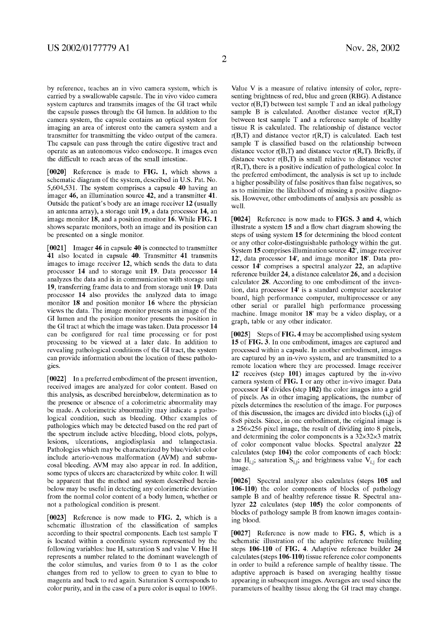by reference, teaches an in vivo camera system, Which is carried by a sWalloWable capsule. The in vivo video camera system captures and transmits images of the GI tract While the capsule passes through the GI lumen. In addition to the camera system, the capsule contains an optical system for imaging an area of interest onto the camera system and a transmitter for transmitting the video output of the camera. The capsule can pass through the entire digestive tract and operate as an autonomous video endoscope. It images even the difficult to reach areas of the small intestine.

[0020] Reference is made to FIG. 1, which shows a schematic diagram of the system, described in US. Pat. No. 5,604,531. The system comprises a capsule 40 having an imager 46, an illumination source 42, and a transmitter 41. Outside the patient's body are an image receiver 12 (usually an antenna array), a storage unit 19, a data processor 14, an image monitor 18, and a position monitor 16. While FIG. 1 shoWs separate monitors, both an image and its position can be presented on a single monitor.

[0021] Imager 46 in capsule 40 is connected to transmitter 41 also located in capsule 40. Transmitter 41 transmits images to image receiver 12, Which sends the data to data processor 14 and to storage unit 19. Data processor 14 analyzes the data and is in communication with storage unit 19, transferring frame data to and from storage unit 19. Data processor 14 also provides the analyzed data to image monitor 18 and position monitor 16 Where the physician vieWs the data. The image monitor presents an image of the GI lumen and the position monitor presents the position in the GI tract at Which the image Was taken. Data processor 14 can be configured for real time processing or for post processing to be vieWed at a later date. In addition to revealing pathological conditions of the GI tract, the system can provide information about the location of these patholo gies.

[0022] In a preferred embodiment of the present invention, received images are analyzed for color content. Based on this analysis, as described hereinbeloW, determination as to the presence or absence of a colorimetric abnormality may be made. A colorimetric abnormality may indicate a patho logical condition, such as bleeding. Other examples of pathologies Which may be detected based on the red part of the spectrum include active bleeding, blood clots, polyps, lesions, ulcerations, angiodisplasia and telangectasia. Pathologies which may be characterized by blue/violet color include arterio-venous malformation (AVM) and submu cosal bleeding. AVM may also appear in red. In addition, some types of ulcers are characterized by white color. It will be apparent that the method and system described herein beloW may be useful in detecting any colorimetric deviation from the normal color content of a body lumen, Whether or not a pathological condition is present.

[0023] Reference is now made to FIG. 2, which is a schematic illustration of the classification of samples according to their spectral components. Each test sample T is located Within a coordinate system represented by the folloWing variables: hue H, saturation S and value V. Hue H represents a number related to the dominant Wavelength of the color stimulus, and varies from 0 to 1 as the color changes from red to yelloW to green to cyan to blue to magenta and back to red again. Saturation S corresponds to color purity, and in the case of a pure color is equal to 100%.

Value V is a measure of relative intensity of color, repre senting brightness of red, blue and green (RBG). A distance vector  $r(B,T)$  between test sample T and an ideal pathology sample B is calculated. Another distance vector  $r(R,\overline{T})$ betWeen test sample T and a reference sample of healthy tissue R is calculated. The relationship of distance vector  $r(B,T)$  and distance vector  $r(R,T)$  is calculated. Each test sample  $T$  is classified based on the relationship between distance vector  $r(B,T)$  and distance vector  $r(R,T)$ . Briefly, if distance vector  $r(B,T)$  is small relative to distance vector r(R,T), there is a positive indication of pathological color. In the preferred embodiment, the analysis is set up to include a higher possibility of false positives than false negatives, so as to minimize the likelihood of missing a positive diagnosis. HoWever, other embodiments of analysis are possible as Well.

[0024] Reference is now made to FIGS. 3 and 4, which illustrate a system 15 and a How chart diagram shoWing the steps of using system 15 for determining the blood content or any other color-distinguishable pathology Within the gut. System 15 comprises illumination source 42', image receiver 12', data processor 14', and image monitor 18'. Data pro cessor 14' comprises a spectral analyzer 22, an adaptive reference builder 24, a distance calculator 26, and a decision calculator 28. According to one embodiment of the inven tion, data processor 14' is a standard computer accelerator board, high performance computer, multiprocessor or any other serial or parallel high performance processing machine. Image monitor 18' may be a video display, or a graph, table or any other indicator.

[0025] Steps of FIG. 4 may be accomplished using system 15 of FIG. 3. In one embodiment, images are captured and processed Within a capsule. In another embodiment, images are captured by an in-vivo system, and are transmitted to a remote location Where they are processed. Image receiver 12' receives (step 101) images captured by the in-vivo camera system of FIG. 1 or any other in-vivo imager. Data processor 14' divides (step 102) the color images into a grid of piXels. As in other imaging applications, the number of piXels determines the resolution of the image. For purposes of this discussion, the images are divided into blocks  $(i, j)$  of  $8\times8$  pixels. Since, in one embodiment, the original image is a  $256\times256$  pixel image, the result of dividing into 8 pixels, and determining the color components is a  $32\times32\times3$  matrix of color component value blocks. Spectral analyzer 22 calculates (step 104) the color components of each block: hue H<sub>i,j</sub>; saturation  $S_{i,j}$ ; and brightness value  $V_{i,j}$  for each image.

[0026] Spectral analyzer also calculates (steps 105 and 106-110) the color components of blocks of pathology sample B and of healthy reference tissue R. Spectral analyzer 22 calculates (step 105) the color components of blocks of pathology sample B from known images containing blood.

[0027] Reference is now made to FIG. 5, which is a schematic illustration of the adaptive reference building steps 106-110 of FIG. 4. Adaptive reference builder 24 calculates (steps 106-110) tissue reference color components in order to build a reference sample of healthy tissue. The adaptive approach is based on averaging healthy tissue appearing in subsequent images. Averages are used since the parameters of healthy tissue along the GI tract may change.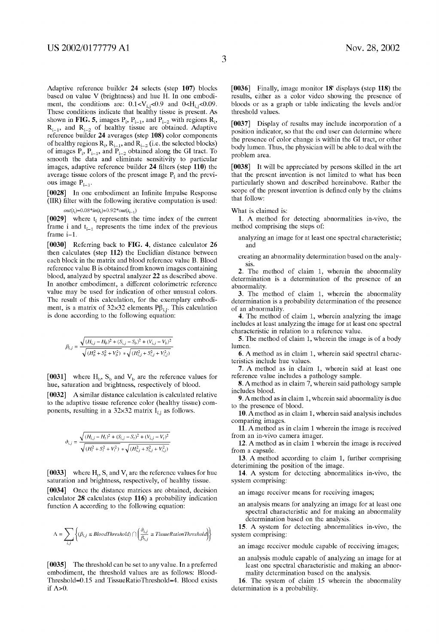Adaptive reference builder 24 selects (step 107) blocks based on value V (brightness) and hue H. In one embodi ment, the conditions are:  $0.1 < V_i$ ; <0.9 and 0<H<sub>i</sub>; <0.09. These conditions indicate that healthy tissue is present. As shown in **FIG. 5**, images  $P_i$ ,  $P_{i-1}$ , and  $P_{i-2}$  with regions  $R_i$ ,  $R_{i-1}$ , and  $R_{i-2}$  of healthy tissue are obtained. Adaptive reference builder 24 averages (step 108) color components of healthy regions  $R_i$ ,  $R_{i-1}$ , and  $R_{i-2}$  (i.e. the selected blocks) of images  $P_i$ ,  $P_{i-1}$ , and  $P_{i-2}$  obtained along the GI tract. To smooth the data and eliminate sensitivity to particular images, adaptive reference builder  $24$  filters (step  $110$ ) the average tissue colors of the present image  $P_i$  and the previous image  $P_{i-1}$ .

[0028] In one embodiment an Infinite Impulse Response  $(IIR)$  filter with the following iterative computation is used:

 $out(t_i)=0.08*in(t_i)+0.92*out(t_{i-1})$ 

 $[0029]$  where t<sub>i</sub> represents the time index of the current frame i and  $t_{i-1}$  represents the time index of the previous frame i—1.

[0030] Referring back to FIG. 4, distance calculator 26 then calculates (step 112) the Euclidian distance between each block in the matrix and blood reference value B. Blood reference value B is obtained from known images containing blood, analyzed by spectral analyzer 22 as described above. In another embodiment, a different colorimetric reference value may be used for indication of other unusual colors. The result of this calculation, for the exemplary embodi ment, is a matrix of 32×32 elements  $P\beta_{i,j}$ . This calculation is done according to the following equation:

$$
\beta_{i,j} = \frac{\sqrt{(H_{i,j} - H_b)^2 + (S_{i,j} - S_b)^2 + (V_{i,j} - V_b)^2}}{\sqrt{(H_b^2 + S_b^2 + V_b^2)} \sqrt{(H_{i,j}^2 + S_{i,j}^2 + V_{i,j}^2)}}
$$

[0031] where  $H_b$ ,  $S_b$  and  $V_b$  are the reference values for hue, saturation and brightness, respectively of blood.

[0032] A similar distance calculation is calculated relative to the adaptive tissue reference color (healthy tissue) com ponents, resulting in a  $32\times32$  matrix  $I_{i,j}$  as follows.

$$
\label{eq:delta} \vartheta_{i,j} = \frac{\sqrt{(H_{i,j}-H_t)^2+(S_{i,j}-S_t)^2+(V_{i,j}-V_t)^2}}{\sqrt{(H_t^2+S_t^2+V_t^2)}\sqrt{(H_{i,j}^2+S_{i,j}^2+V_{i,j}^2)}}
$$

[0033] where  $H_t$ , S<sub>t</sub> and V<sub>t</sub> are the reference values for hue saturation and brightness, respectively, of healthy tissue.

[0034] Once the distance matrices are obtained, decision calculator 28 calculates (step 116) a probability indication function A according to the following equation:

$$
\Lambda = \sum_{i,j} \left\{ (\beta_{i,j} \le \textit{BloodThreshold}) \cap \left( \frac{\partial_{i,j}}{\beta_{i,j}} \ge \textit{TissueRatio}(\textit{Threshold}) \right) \right\}
$$

[0035] The threshold can be set to any value. In a preferred embodiment, the threshold values are as folloWs: Blood Threshold=0.15 and TissueRatioThreshold=4. Blood exists if  $\Lambda$ >0.

[0036] Finally, image monitor 18' displays (step 118) the results, either as a color video shoWing the presence of bloods or as a graph or table indicating the levels and/or threshold values.

[0037] Display of results may include incorporation of a position indicator, so that the end user can determine Where the presence of color change is Within the GI tract, or other body lumen. Thus, the physician Will be able to deal With the problem area.

[0038] It Will be appreciated by persons skilled in the art that the present invention is not limited to What has been particularly shoWn and described hereinabove. Rather the scope of the present invention is defined only by the claims that folloW:

What is claimed is:

1. A method for detecting abnormalities in-vivo, the method comprising the steps of:

- analyzing an image for at least one spectral characteristic; and
- creating an abnormality determination based on the analy sis.

2. The method of claim 1, Wherein the abnormality determination is a determination of the presence of an abnormality.

3. The method of claim 1, Wherein the abnormality determination is a probability determination of the presence of an abnormality.

4. The method of claim 1, wherein analyzing the image includes at least analyZing the image for at least one spectral characteristic in relation to a reference value.

5. The method of claim 1, Wherein the image is of a body lumen.

6. A method as in claim 1, Wherein said spectral charac teristics include hue values.

7. A method as in claim 1, Wherein said at least one reference value includes a pathology sample.

8. Amethod as in claim 7, Wherein said pathology sample includes blood.

9. Amethod as in claim 1, Wherein said abnormality is due to the presence of blood.

10. Amethod as in claim 1, Wherein said analysis includes comparing images.

11. A method as in claim 1 Wherein the image is received from an in-vivo camera imager.

12. A method as in claim  $1$  wherein the image is received from a capsule.

13. A method according to claim 1, further comprising deterimining the position of the image.

14. A system for detecting abnormalities in-vivo, the system comprising:

an image receiver means for receiving images;

an analysis means for analyzing an image for at least one spectral characteristic and for making an abnormality determination based on the analysis.

15. A system for detecting abnormalities in-vivo, the system comprising:

an image receiver module capable of receiving images;

an analysis module capable of analyzing an image for at least one spectral characteristic and making an abnor mality determination based on the analysis.

16. The system of claim 15 Wherein the abnormality determination is a probability.